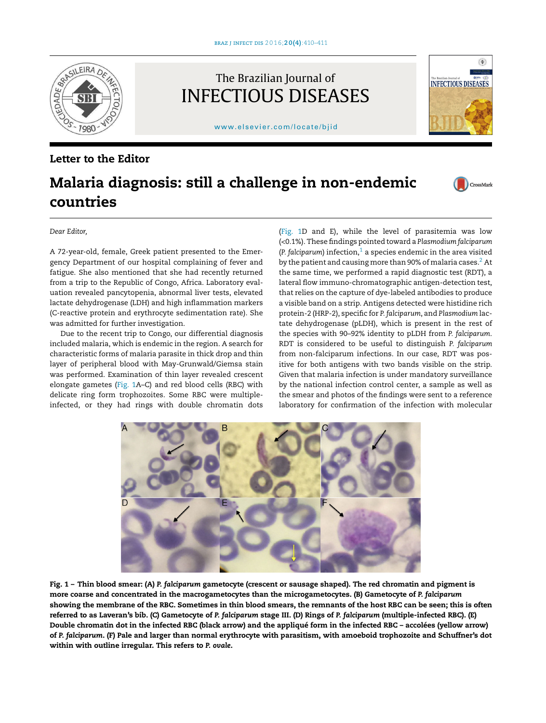<span id="page-0-0"></span>

The Brazilian Journal of INFECTIOUS DISEASES

[www.elsevier.com/locate/bjid](http://www.elsevier.com/locate/bjid)

## Letter to the Editor

# Malaria diagnosis: still a challenge in non-endemic countries

CrossMark

 $\begin{picture}(20,20) \put(0,0){\line(1,0){15}} \put(15,0){\line(1,0){15}} \put(15,0){\line(1,0){15}} \put(15,0){\line(1,0){15}} \put(15,0){\line(1,0){15}} \put(15,0){\line(1,0){15}} \put(15,0){\line(1,0){15}} \put(15,0){\line(1,0){15}} \put(15,0){\line(1,0){15}} \put(15,0){\line(1,0){15}} \put(15,0){\line(1,0){15}} \put(15,0){\line(1$ 

**INFECTIOUS DISEASES** 

#### *Dear Editor,*

A 72-year-old, female, Greek patient presented to the Emergency Department of our hospital complaining of fever and fatigue. She also mentioned that she had recently returned from a trip to the Republic of Congo, Africa. Laboratory evaluation revealed pancytopenia, abnormal liver tests, elevated lactate dehydrogenase (LDH) and high inflammation markers (C-reactive protein and erythrocyte sedimentation rate). She was admitted for further investigation.

Due to the recent trip to Congo, our differential diagnosis included malaria, which is endemic in the region. A search for characteristic forms of malaria parasite in thick drop and thin layer of peripheral blood with May-Grunwald/Giemsa stain was performed. Examination of thin layer revealed crescent elongate gametes (Fig. 1A–C) and red blood cells (RBC) with delicate ring form trophozoites. Some RBC were multipleinfected, or they had rings with double chromatin dots (Fig. 1D and E), while the level of parasitemia was low (<0.1%). These findings pointed toward a *Plasmodium falciparum* ( $P.$  *f[a](#page-1-0)lciparum*) infection,<sup>1</sup> a species endemic in the area visited by the patient and causing more than 90% of malaria cases.<sup>2</sup> [A](#page-1-0)t the same time, we performed a rapid diagnostic test (RDT), a lateral flow immuno-chromatographic antigen-detection test, that relies on the capture of dye-labeled antibodies to produce a visible band on a strip. Antigens detected were histidine rich protein-2 (HRP-2), specific for *P. falciparum*, and *Plasmodium* lactate dehydrogenase (pLDH), which is present in the rest of the species with 90–92% identity to pLDH from *P. falciparum*. RDT is considered to be useful to distinguish *P. falciparum* from non-falciparum infections. In our case, RDT was positive for both antigens with two bands visible on the strip. Given that malaria infection is under mandatory surveillance by the national infection control center, a sample as well as the smear and photos of the findings were sent to a reference laboratory for confirmation of the infection with molecular



Fig. 1 – Thin blood smear: (A) *P. falciparum* gametocyte (crescent or sausage shaped). The red chromatin and pigment is more coarse and concentrated in the macrogametocytes than the microgametocytes. (B) Gametocyte of *P. falciparum* showing the membrane of the RBC. Sometimes in thin blood smears, the remnants of the host RBC can be seen; this is often referred to as Laveran's bib. (C) Gametocyte of *P. falciparum* stage III. (D) Rings of *P. falciparum* (multiple-infected RBC). (E) Double chromatin dot in the infected RBC (black arrow) and the appliqué form in the infected RBC – accolées (yellow arrow) of *P. falciparum*. (F) Pale and larger than normal erythrocyte with parasitism, with amoeboid trophozoite and Schuffner's dot within with outline irregular. This refers to *P. ovale*.